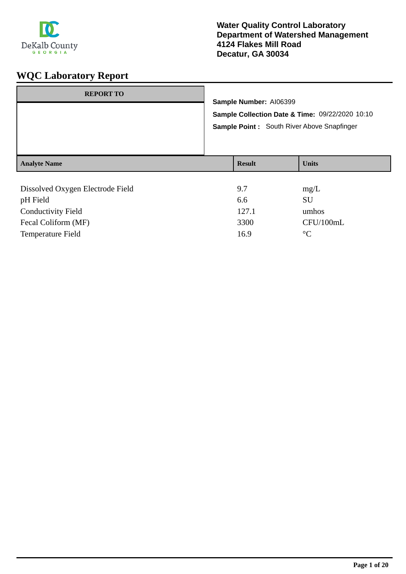

| <b>REPORT TO</b>                 |                                                   |               |              |
|----------------------------------|---------------------------------------------------|---------------|--------------|
|                                  | Sample Number: AI06399                            |               |              |
|                                  | Sample Collection Date & Time: 09/22/2020 10:10   |               |              |
|                                  | <b>Sample Point:</b> South River Above Snapfinger |               |              |
|                                  |                                                   |               |              |
|                                  |                                                   |               |              |
| <b>Analyte Name</b>              |                                                   | <b>Result</b> | <b>Units</b> |
|                                  |                                                   |               |              |
| Dissolved Oxygen Electrode Field |                                                   | 9.7           | mg/L         |
| pH Field                         |                                                   | 6.6           | SU           |

Conductivity Field 127.1 umhos Fecal Coliform (MF) 3300 CFU/100mL Temperature Field <sup>o</sup>C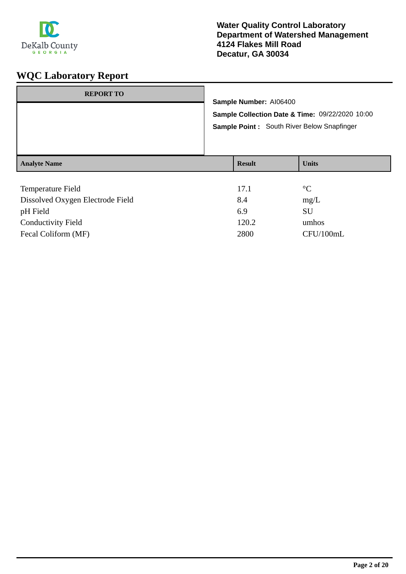

| <b>REPORT TO</b>    | Sample Number: AI06400<br>Sample Point: South River Below Snapfinger | Sample Collection Date & Time: 09/22/2020 10:00 |
|---------------------|----------------------------------------------------------------------|-------------------------------------------------|
| <b>Analyte Name</b> | <b>Result</b>                                                        | <b>Units</b>                                    |
| Temperature Field   | 17.1                                                                 | $\rm ^{\circ}C$                                 |

| Temperature Pielu                | 1/1   |           |
|----------------------------------|-------|-----------|
| Dissolved Oxygen Electrode Field | 8.4   | mg/L      |
| pH Field                         | 6.9   | SU        |
| <b>Conductivity Field</b>        | 120.2 | umhos     |
| Fecal Coliform (MF)              | 2800  | CFU/100mL |
|                                  |       |           |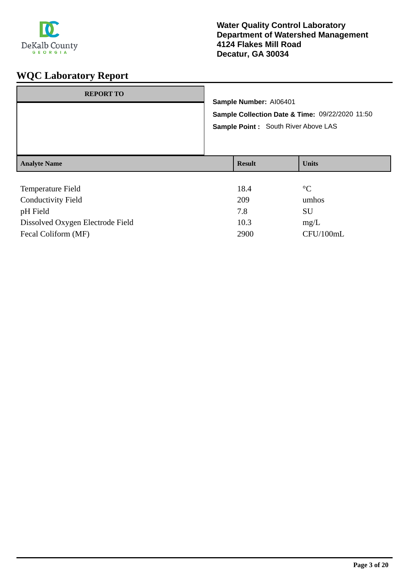

| <b>REPORT TO</b>          |                                                                           |               |                 |
|---------------------------|---------------------------------------------------------------------------|---------------|-----------------|
|                           | Sample Number: AI06401<br>Sample Collection Date & Time: 09/22/2020 11:50 |               |                 |
|                           |                                                                           |               |                 |
|                           | Sample Point : South River Above LAS                                      |               |                 |
|                           |                                                                           |               |                 |
|                           |                                                                           |               |                 |
| <b>Analyte Name</b>       |                                                                           | <b>Result</b> | <b>Units</b>    |
|                           |                                                                           |               |                 |
| Temperature Field         |                                                                           | 18.4          | $\rm ^{\circ}C$ |
| <b>Conductivity Field</b> |                                                                           | 209           | umhos           |
| pH Field                  |                                                                           | 7.8           | <b>SU</b>       |

Dissolved Oxygen Electrode Field 10.3 mg/L

Fecal Coliform (MF) 2900 CFU/100mL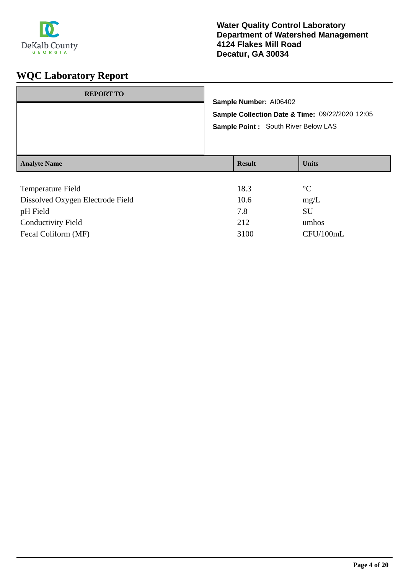

| <b>REPORT TO</b>    | Sample Number: AI06402<br>Sample Point : South River Below LAS | Sample Collection Date & Time: 09/22/2020 12:05 |
|---------------------|----------------------------------------------------------------|-------------------------------------------------|
| <b>Analyte Name</b> | <b>Result</b>                                                  | <b>Units</b>                                    |
| Temperature Field   | 183                                                            | $^{\circ}C$                                     |

| <b>Temperature Field</b>         | 18.3 | $^{\circ}C$ |
|----------------------------------|------|-------------|
| Dissolved Oxygen Electrode Field | 10.6 | mg/L        |
| pH Field                         | 7.8  | SU          |
| <b>Conductivity Field</b>        | 212  | umhos       |
| Fecal Coliform (MF)              | 3100 | CFU/100mL   |
|                                  |      |             |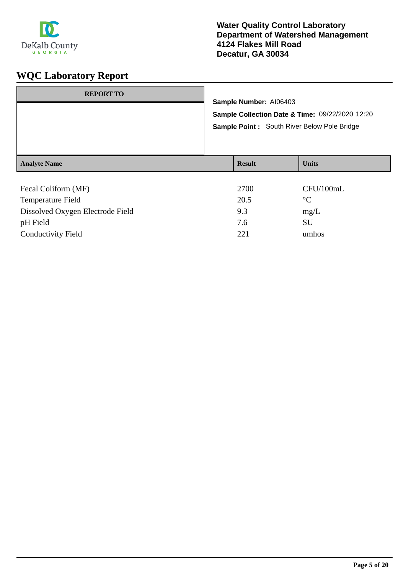

| <b>REPORT TO</b>    | Sample Number: AI06403 | Sample Collection Date & Time: 09/22/2020 12:20<br><b>Sample Point:</b> South River Below Pole Bridge |
|---------------------|------------------------|-------------------------------------------------------------------------------------------------------|
| <b>Analyte Name</b> | <b>Result</b>          | <b>Units</b>                                                                                          |
| Fecal Coliform (MF) | 2700                   | CFU/100mL                                                                                             |

| <b>Temperature Field</b>         | 20.5 | $\rm ^{\circ}C$ |
|----------------------------------|------|-----------------|
| Dissolved Oxygen Electrode Field | 9.3  | mg/L            |
| pH Field                         | 7.6  | SU              |
| <b>Conductivity Field</b>        | 221  | umhos           |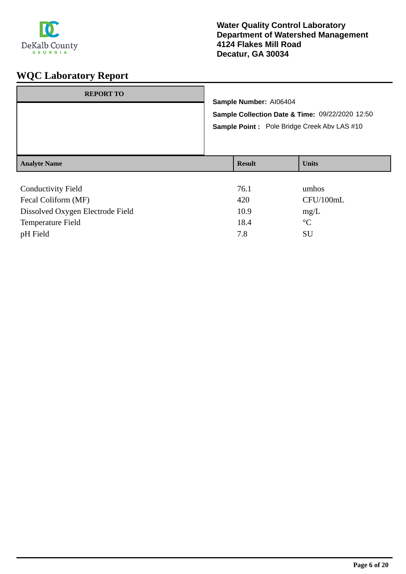

| <b>REPORT TO</b>    | Sample Number: AI06404 | Sample Collection Date & Time: 09/22/2020 12:50<br>Sample Point: Pole Bridge Creek Abv LAS #10 |
|---------------------|------------------------|------------------------------------------------------------------------------------------------|
| <b>Analyte Name</b> | <b>Result</b>          | <b>Units</b>                                                                                   |
| $C = 1.1$           | 7 <sub>1</sub>         | . 1.                                                                                           |

| <b>Conductivity Field</b>        | 76.1 | umhos       |
|----------------------------------|------|-------------|
| Fecal Coliform (MF)              | 420  | CFU/100mL   |
| Dissolved Oxygen Electrode Field | 10.9 | mg/L        |
| Temperature Field                | 18.4 | $^{\circ}C$ |
| pH Field                         | 7.8  | SU          |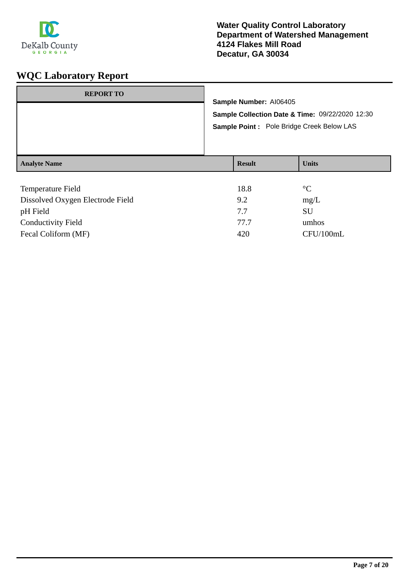

| <b>REPORT TO</b>    | Sample Number: AI06405<br>Sample Point : Pole Bridge Creek Below LAS | Sample Collection Date & Time: 09/22/2020 12:30 |
|---------------------|----------------------------------------------------------------------|-------------------------------------------------|
| <b>Analyte Name</b> | <b>Result</b>                                                        | <b>Units</b>                                    |
|                     |                                                                      |                                                 |

| Temperature Field                | 18.8 | $\rm ^{\circ}C$ |
|----------------------------------|------|-----------------|
| Dissolved Oxygen Electrode Field | 9.2  | mg/L            |
| pH Field                         | 7.7  | SU              |
| <b>Conductivity Field</b>        | 77.7 | umhos           |
| Fecal Coliform (MF)              | 420  | CFU/100mL       |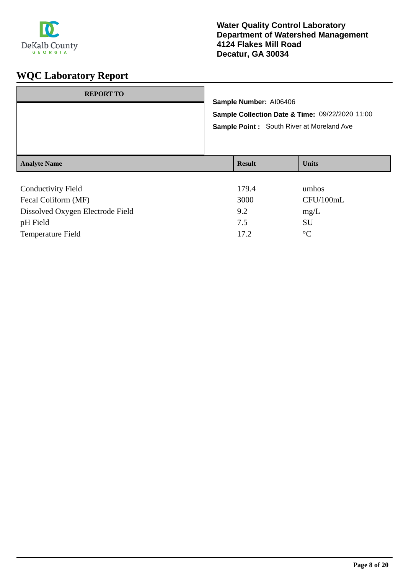

| <b>REPORT TO</b>          | Sample Number: AI06406 | Sample Collection Date & Time: 09/22/2020 11:00<br>Sample Point: South River at Moreland Ave |
|---------------------------|------------------------|----------------------------------------------------------------------------------------------|
| <b>Analyte Name</b>       | <b>Result</b>          | <b>Units</b>                                                                                 |
| <b>Conductivity Field</b> | 179.4                  | umhos                                                                                        |

| Conductivity Field               | 179.4 | umhos           |
|----------------------------------|-------|-----------------|
| Fecal Coliform (MF)              | 3000  | CFU/100mL       |
| Dissolved Oxygen Electrode Field | 9.2   | mg/L            |
| pH Field                         | 7.5   | SU              |
| <b>Temperature Field</b>         | 17.2  | $\rm ^{\circ}C$ |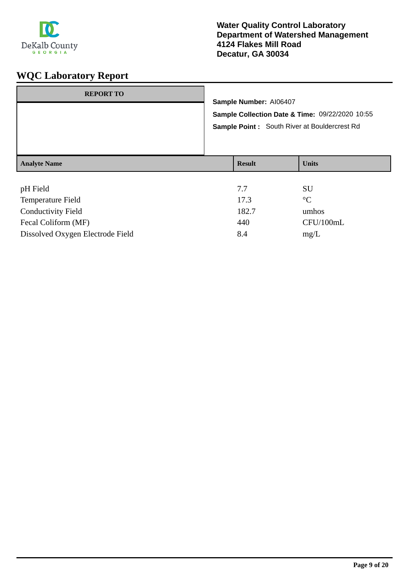

| <b>REPORT TO</b>         |  |                                                                                                        |                 |  |  |
|--------------------------|--|--------------------------------------------------------------------------------------------------------|-----------------|--|--|
|                          |  | Sample Number: AI06407                                                                                 |                 |  |  |
|                          |  | Sample Collection Date & Time: 09/22/2020 10:55<br><b>Sample Point:</b> South River at Bouldercrest Rd |                 |  |  |
|                          |  |                                                                                                        |                 |  |  |
| <b>Analyte Name</b>      |  | <b>Result</b>                                                                                          | <b>Units</b>    |  |  |
| pH Field                 |  | 7.7                                                                                                    | <b>SU</b>       |  |  |
| <b>Temperature Field</b> |  | 17.3                                                                                                   | $\rm ^{\circ}C$ |  |  |

| Temperature Field                | 17.3  | $\circ$   |
|----------------------------------|-------|-----------|
| <b>Conductivity Field</b>        | 182.7 | umhos     |
| Fecal Coliform (MF)              | 440   | CFU/100mL |
| Dissolved Oxygen Electrode Field | 8.4   | mg/L      |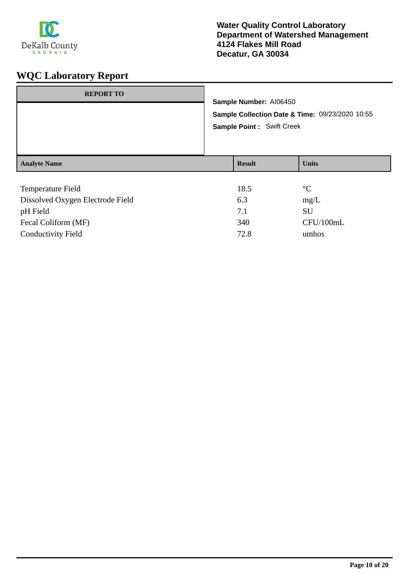

| <b>REPORT TO</b>    | Sample Number: AI06450<br><b>Sample Point: Swift Creek</b> | Sample Collection Date & Time: 09/23/2020 10:55 |
|---------------------|------------------------------------------------------------|-------------------------------------------------|
| <b>Analyte Name</b> | <b>Result</b>                                              | <b>Units</b>                                    |
| Temperature Field   | 18.5                                                       | $\rm ^{\circ}C$                                 |

| 18.5 | <u>ы та</u> |
|------|-------------|
| 6.3  | mg/L        |
| 7.1  | SU          |
| 340  | CFU/100mL   |
| 72.8 | umhos       |
|      |             |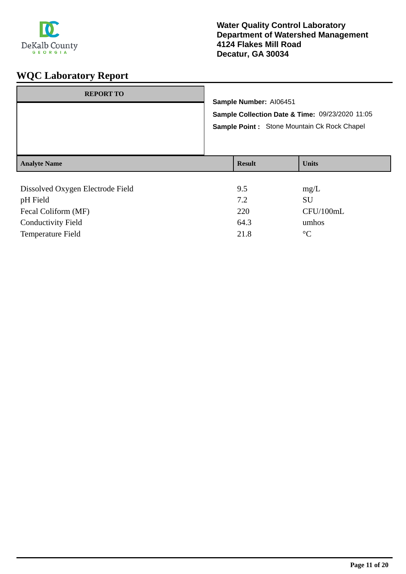

| <b>REPORT TO</b>                 | Sample Number: AI06451<br>Sample Collection Date & Time: 09/23/2020 11:05<br>Sample Point: Stone Mountain Ck Rock Chapel |               |              |
|----------------------------------|--------------------------------------------------------------------------------------------------------------------------|---------------|--------------|
| <b>Analyte Name</b>              |                                                                                                                          | <b>Result</b> | <b>Units</b> |
| Dissolved Oxygen Electrode Field |                                                                                                                          | 9.5           | mg/L         |

| pH Field                  | 7.2  | SU              |
|---------------------------|------|-----------------|
| Fecal Coliform (MF)       | 220  | CFU/100mL       |
| <b>Conductivity Field</b> | 64.3 | umhos           |
| Temperature Field         | 21.8 | $\rm ^{\circ}C$ |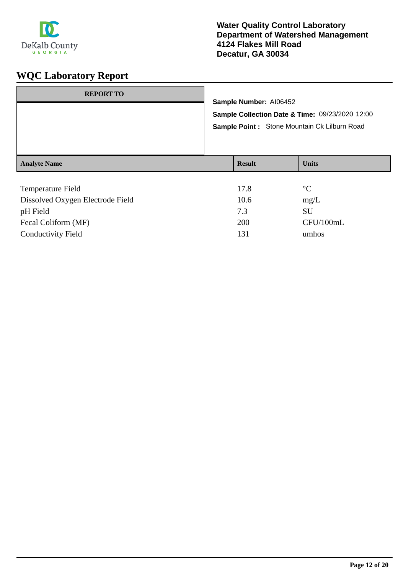

| <b>REPORT TO</b>    | Sample Number: AI06452 | Sample Collection Date & Time: 09/23/2020 12:00<br>Sample Point: Stone Mountain Ck Lilburn Road |
|---------------------|------------------------|-------------------------------------------------------------------------------------------------|
| <b>Analyte Name</b> | <b>Result</b>          | <b>Units</b>                                                                                    |
| Temperature Field   | 17.8                   | $\rm ^{\circ}C$                                                                                 |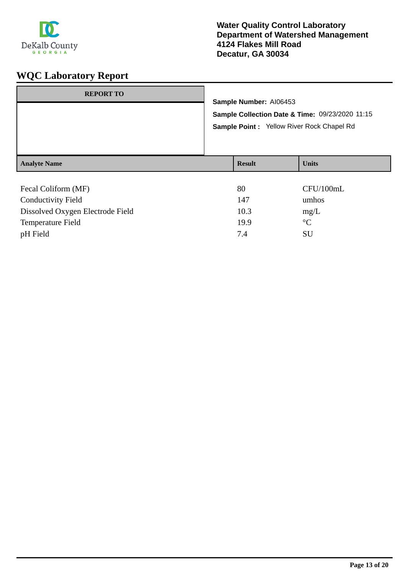

| <b>REPORT TO</b>    | Sample Number: AI06453<br>Sample Collection Date & Time: 09/23/2020 11:15<br>Sample Point: Yellow River Rock Chapel Rd |  |              |
|---------------------|------------------------------------------------------------------------------------------------------------------------|--|--------------|
| <b>Analyte Name</b> | <b>Result</b>                                                                                                          |  | <b>Units</b> |
| Fecal Coliform (MF) | 80<br>.                                                                                                                |  | CFU/100mL    |

| <b>Conductivity Field</b>        | 147  | umhos           |
|----------------------------------|------|-----------------|
| Dissolved Oxygen Electrode Field | 10.3 | mg/L            |
| Temperature Field                | 19.9 | $\rm ^{\circ}C$ |
| pH Field                         | 74   | SU              |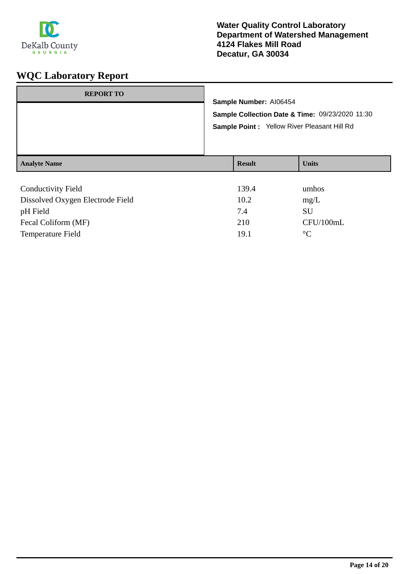

| <b>REPORT TO</b>          | Sample Number: AI06454<br>Sample Collection Date & Time: 09/23/2020 11:30<br>Sample Point : Yellow River Pleasant Hill Rd |              |  |
|---------------------------|---------------------------------------------------------------------------------------------------------------------------|--------------|--|
| <b>Analyte Name</b>       | <b>Result</b>                                                                                                             | <b>Units</b> |  |
| <b>Conductivity Field</b> | 139.4                                                                                                                     | umhos        |  |

| Conductivity Field               | 139.4 | umnos       |
|----------------------------------|-------|-------------|
| Dissolved Oxygen Electrode Field | 10.2  | mg/L        |
| pH Field                         | 7.4   | SU          |
| Fecal Coliform (MF)              | 210   | CFU/100mL   |
| Temperature Field                | 19.1  | $^{\circ}C$ |
|                                  |       |             |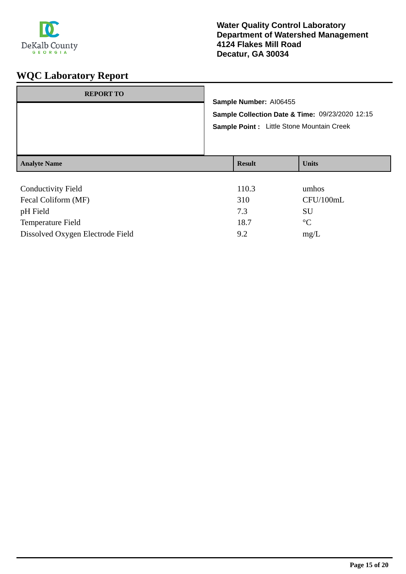

| <b>REPORT TO</b>          | Sample Number: AI06455<br>Sample Collection Date & Time: 09/23/2020 12:15<br>Sample Point : Little Stone Mountain Creek |               |              |
|---------------------------|-------------------------------------------------------------------------------------------------------------------------|---------------|--------------|
|                           |                                                                                                                         |               |              |
| <b>Analyte Name</b>       |                                                                                                                         | <b>Result</b> | <b>Units</b> |
| <b>Conductivity Field</b> |                                                                                                                         | 110.3         | umhos        |
| Fecal Coliform (MF)       |                                                                                                                         | 310           | CFU/100mL    |
| pH Field                  |                                                                                                                         | 7.3           | <b>SU</b>    |

Temperature Field 28.7 °C Dissolved Oxygen Electrode Field 9.2 mg/L

**Page 15 of 20**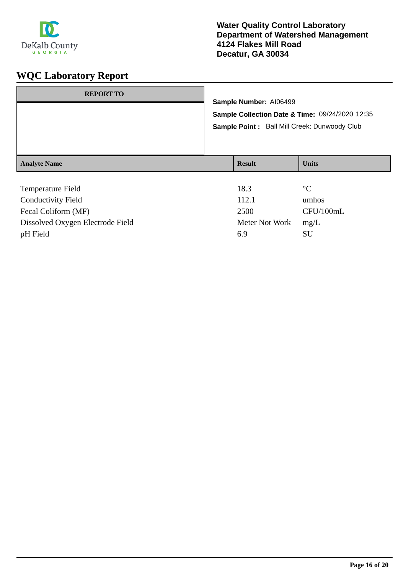

| <b>REPORT TO</b>                 | Sample Number: AI06499<br>Sample Collection Date & Time: 09/24/2020 12:35<br>Sample Point: Ball Mill Creek: Dunwoody Club |                 |  |
|----------------------------------|---------------------------------------------------------------------------------------------------------------------------|-----------------|--|
| <b>Analyte Name</b>              | <b>Result</b>                                                                                                             | <b>Units</b>    |  |
|                                  |                                                                                                                           |                 |  |
| Temperature Field                | 18.3                                                                                                                      | $\rm ^{\circ}C$ |  |
| <b>Conductivity Field</b>        | 112.1                                                                                                                     | umhos           |  |
| Fecal Coliform (MF)              | 2500                                                                                                                      | CFU/100mL       |  |
| Dissolved Oxygen Electrode Field | Meter Not Work                                                                                                            | mg/L            |  |
| pH Field                         | 6.9                                                                                                                       | SU              |  |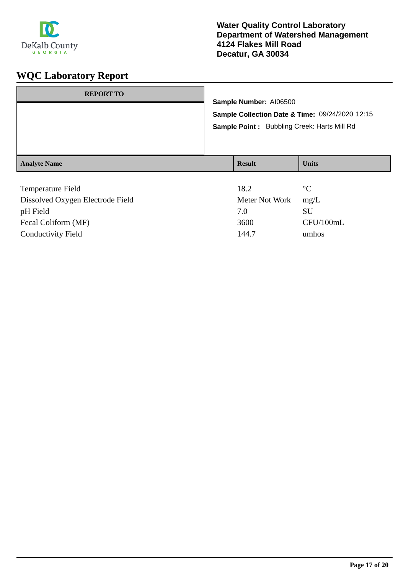

| <b>REPORT TO</b>                                      | Sample Number: AI06500<br>Sample Collection Date & Time: 09/24/2020 12:15<br>Sample Point: Bubbling Creek: Harts Mill Rd |                        |                         |
|-------------------------------------------------------|--------------------------------------------------------------------------------------------------------------------------|------------------------|-------------------------|
| <b>Analyte Name</b>                                   |                                                                                                                          | <b>Result</b>          | <b>Units</b>            |
| Temperature Field<br>Dissolved Oxygen Electrode Field |                                                                                                                          | 18.2<br>Meter Not Work | $\rm ^{\circ}C$<br>mg/L |

pH Field SU Fecal Coliform (MF) 3600 CFU/100mL Conductivity Field 144.7 umhos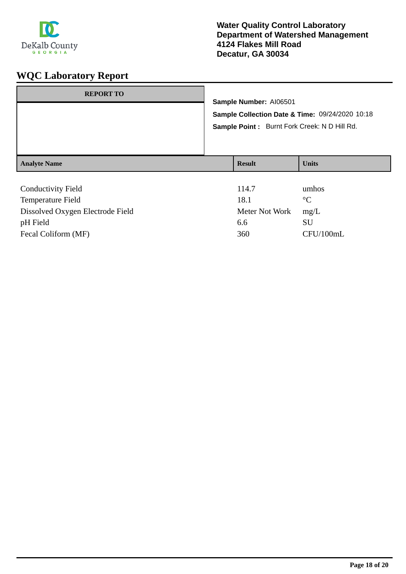

| <b>REPORT TO</b>                 | Sample Number: AI06501<br>Sample Collection Date & Time: 09/24/2020 10:18<br>Sample Point : Burnt Fork Creek: N D Hill Rd. |                |                 |
|----------------------------------|----------------------------------------------------------------------------------------------------------------------------|----------------|-----------------|
| <b>Analyte Name</b>              |                                                                                                                            | <b>Result</b>  | <b>Units</b>    |
|                                  |                                                                                                                            |                |                 |
| <b>Conductivity Field</b>        |                                                                                                                            | 114.7          | umhos           |
| Temperature Field                |                                                                                                                            | 18.1           | $\rm ^{\circ}C$ |
| Dissolved Oxygen Electrode Field |                                                                                                                            | Meter Not Work | mg/L            |
| pH Field                         |                                                                                                                            | 6.6            | SU              |

Fecal Coliform (MF) 360 CFU/100mL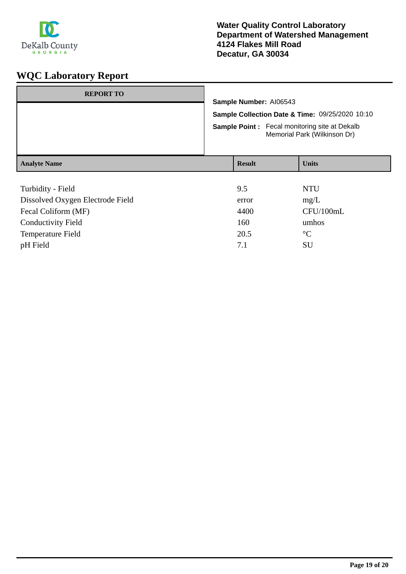

| <b>REPORT TO</b>                 | Sample Number: AI06543<br><b>Sample Collection Date &amp; Time: 09/25/2020 10:10</b><br><b>Sample Point:</b> Fecal monitoring site at Dekalb |  |              |
|----------------------------------|----------------------------------------------------------------------------------------------------------------------------------------------|--|--------------|
| <b>Analyte Name</b>              | Memorial Park (Wilkinson Dr)<br><b>Result</b>                                                                                                |  | <b>Units</b> |
|                                  |                                                                                                                                              |  |              |
| Turbidity - Field                | 9.5                                                                                                                                          |  | <b>NTU</b>   |
| Dissolved Oxygen Electrode Field | error                                                                                                                                        |  | mg/L         |

| <b>DISSOLVED ON YELL LIEUTOUC</b> 1 ICIU | $\mathbf{u}$ | $\mathbf{H}(\mathbf{z})$ |
|------------------------------------------|--------------|--------------------------|
| Fecal Coliform (MF)                      | 4400         | CFU/100mL                |
| <b>Conductivity Field</b>                | 160          | umhos                    |
| Temperature Field                        | 20.5         | $\circ$ C                |
| pH Field                                 | 7.1          | SU                       |